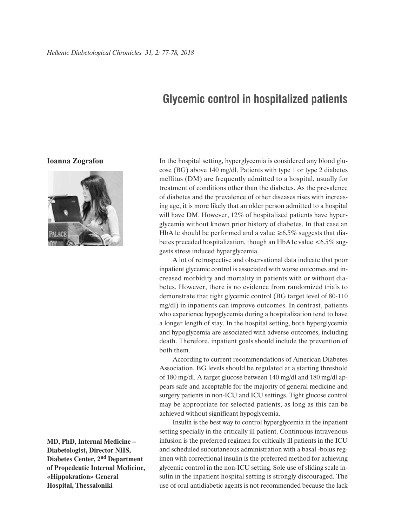## **Glycemic control in hospitalized patients**

## **Ioanna Zografou**



**MD, PhD, Internal Medicine – Diabetologist, Director NHS, Diabetes Center, 2nd Department of Propedeutic Internal Medicine, «Hippokration» General Hospital, Thessaloniki**

In the hospital setting, hyperglycemia is considered any blood glucose (BG) above 140 mg/dl. Patients with type 1 or type 2 diabetes mellitus (DM) are frequently admitted to a hospital, usually for treatment of conditions other than the diabetes. As the prevalence of diabetes and the prevalence of other diseases rises with increasing age, it is more likely that an older person admitted to a hospital will have DM. However, 12% of hospitalized patients have hyperglycemia without known prior history of diabetes. In that case an HbA1c should be performed and a value  $\geq 6.5\%$  suggests that diabetes preceded hospitalization, though an HbA1c value <6.5% suggests stress induced hyperglycemia.

A lot of retrospective and observational data indicate that poor inpatient glycemic control is associated with worse outcomes and increased morbidity and mortality in patients with or without diabetes. However, there is no evidence from randomized trials to demonstrate that tight glycemic control (BG target level of 80-110 mg/dl) in inpatients can improve outcomes. In contrast, patients who experience hypoglycemia during a hospitalization tend to have a longer length of stay. In the hospital setting, both hyperglycemia and hypoglycemia are associated with adverse outcomes, including death. Therefore, inpatient goals should include the prevention of both them.

According to current recommendations of American Diabetes Association, BG levels should be regulated at a starting threshold of 180 mg/dl. A target glucose between 140 mg/dl and 180 mg/dl appears safe and acceptable for the majority of general medicine and surgery patients in non-ICU and ICU settings. Tight glucose control may be appropriate for selected patients, as long as this can be achieved without significant hypoglycemia.

Insulin is the best way to control hyperglycemia in the inpatient setting specially in the critically ill patient. Continuous intravenous infusion is the preferred regimen for critically ill patients in the ICU and scheduled subcutaneous administration with a basal -bolus regimen with correctional insulin is the preferred method for achieving glycemic control in the non-ICU setting. Sole use of sliding scale insulin in the inpatient hospital setting is strongly discouraged. The use of oral antidiabetic agents is not recommended because the lack